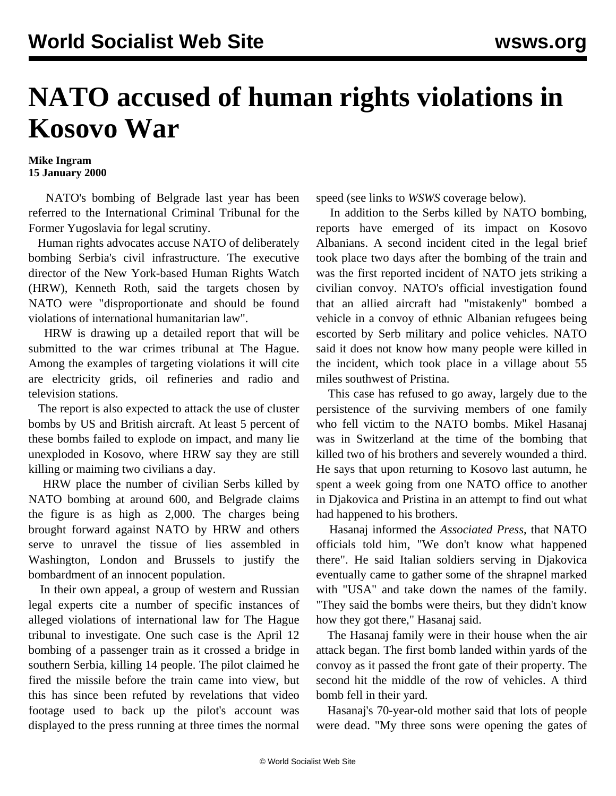## **NATO accused of human rights violations in Kosovo War**

## **Mike Ingram 15 January 2000**

 NATO's bombing of Belgrade last year has been referred to the International Criminal Tribunal for the Former Yugoslavia for legal scrutiny.

 Human rights advocates accuse NATO of deliberately bombing Serbia's civil infrastructure. The executive director of the New York-based Human Rights Watch (HRW), Kenneth Roth, said the targets chosen by NATO were "disproportionate and should be found violations of international humanitarian law".

 HRW is drawing up a detailed report that will be submitted to the war crimes tribunal at The Hague. Among the examples of targeting violations it will cite are electricity grids, oil refineries and radio and television stations.

 The report is also expected to attack the use of cluster bombs by US and British aircraft. At least 5 percent of these bombs failed to explode on impact, and many lie unexploded in Kosovo, where HRW say they are still killing or maiming two civilians a day.

 HRW place the number of civilian Serbs killed by NATO bombing at around 600, and Belgrade claims the figure is as high as 2,000. The charges being brought forward against NATO by HRW and others serve to unravel the tissue of lies assembled in Washington, London and Brussels to justify the bombardment of an innocent population.

 In their own appeal, a group of western and Russian legal experts cite a number of specific instances of alleged violations of international law for The Hague tribunal to investigate. One such case is the April 12 bombing of a passenger train as it crossed a bridge in southern Serbia, killing 14 people. The pilot claimed he fired the missile before the train came into view, but this has since been refuted by revelations that video footage used to back up the pilot's account was displayed to the press running at three times the normal

speed (see links to *WSWS* coverage below).

 In addition to the Serbs killed by NATO bombing, reports have emerged of its impact on Kosovo Albanians. A second incident cited in the legal brief took place two days after the bombing of the train and was the first reported incident of NATO jets striking a civilian convoy. NATO's official investigation found that an allied aircraft had "mistakenly" bombed a vehicle in a convoy of ethnic Albanian refugees being escorted by Serb military and police vehicles. NATO said it does not know how many people were killed in the incident, which took place in a village about 55 miles southwest of Pristina.

 This case has refused to go away, largely due to the persistence of the surviving members of one family who fell victim to the NATO bombs. Mikel Hasanaj was in Switzerland at the time of the bombing that killed two of his brothers and severely wounded a third. He says that upon returning to Kosovo last autumn, he spent a week going from one NATO office to another in Djakovica and Pristina in an attempt to find out what had happened to his brothers.

 Hasanaj informed the *Associated Press*, that NATO officials told him, "We don't know what happened there". He said Italian soldiers serving in Djakovica eventually came to gather some of the shrapnel marked with "USA" and take down the names of the family. "They said the bombs were theirs, but they didn't know how they got there," Hasanaj said.

 The Hasanaj family were in their house when the air attack began. The first bomb landed within yards of the convoy as it passed the front gate of their property. The second hit the middle of the row of vehicles. A third bomb fell in their yard.

 Hasanaj's 70-year-old mother said that lots of people were dead. "My three sons were opening the gates of